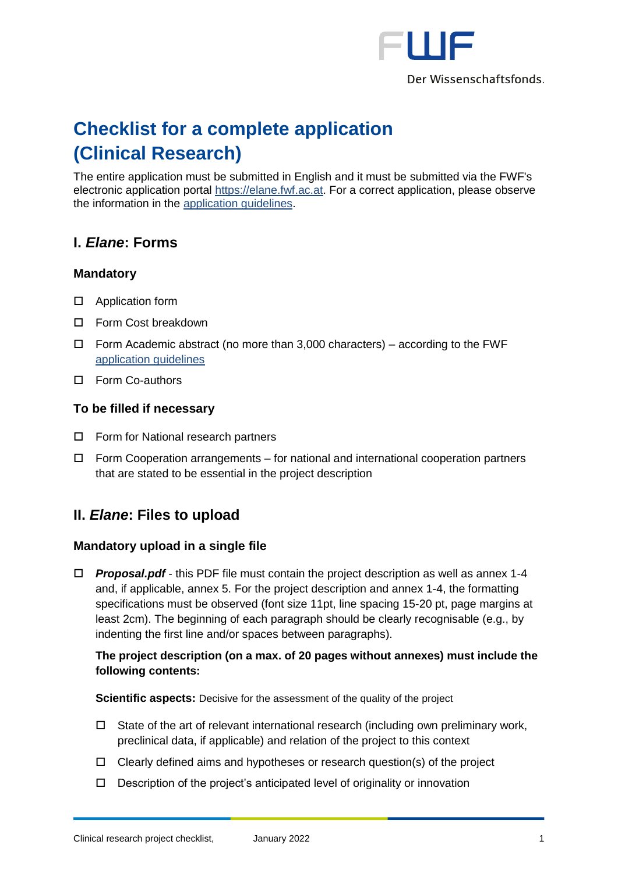

# **Checklist for a complete application (Clinical Research)**

The entire application must be submitted in English and it must be submitted via the FWF's electronic application portal [https://elane.fwf.ac.at.](https://elane.fwf.ac.at/) For a correct application, please observe the information in the [application guidelines.](https://www.fwf.ac.at/fileadmin/files/Dokumente/Antragstellung/Einzelprojekte/p_application-guidelines.pdf)

# **I.** *Elane***: Forms**

## **Mandatory**

- □ Application form
- □ Form Cost breakdown
- $\Box$  Form Academic abstract (no more than 3,000 characters) according to the FWF [application guidelines](https://www.fwf.ac.at/fileadmin/files/Dokumente/Antragstellung/KLIF/klif_application-guidelines.pdf)
- □ Form Co-authors

#### **To be filled if necessary**

- □ Form for National research partners
- Form Cooperation arrangements for national and international cooperation partners that are stated to be essential in the project description

# **II.** *Elane***: Files to upload**

#### **Mandatory upload in a single file**

 *Proposal.pdf* - this PDF file must contain the project description as well as annex 1-4 and, if applicable, annex 5. For the project description and annex 1-4, the formatting specifications must be observed (font size 11pt, line spacing 15-20 pt, page margins at least 2cm). The beginning of each paragraph should be clearly recognisable (e.g., by indenting the first line and/or spaces between paragraphs).

## **The project description (on a max. of 20 pages without annexes) must include the following contents:**

**Scientific aspects:** Decisive for the assessment of the quality of the project

- $\Box$  State of the art of relevant international research (including own preliminary work, preclinical data, if applicable) and relation of the project to this context
- $\Box$  Clearly defined aims and hypotheses or research question(s) of the project
- $\Box$  Description of the project's anticipated level of originality or innovation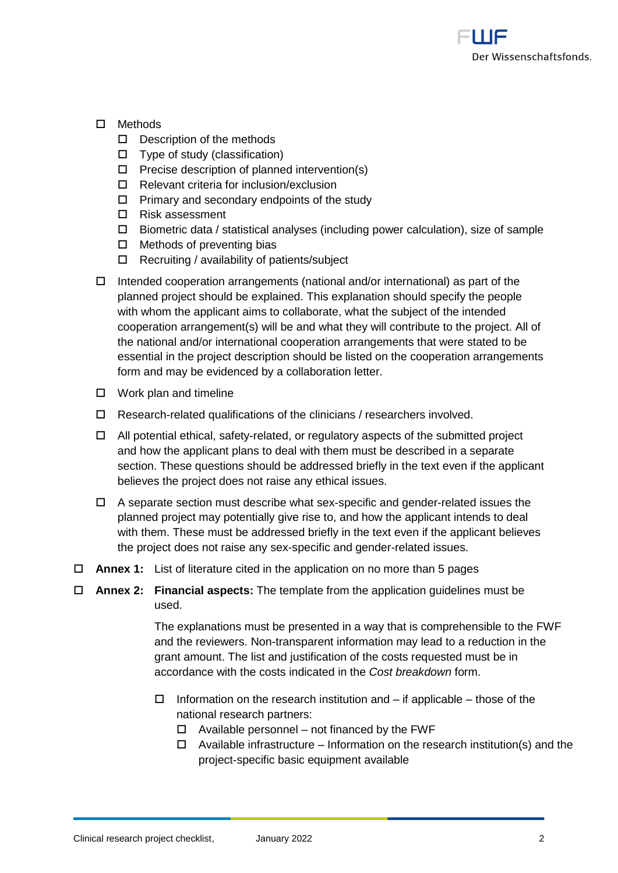

- Methods
	- $\square$  Description of the methods
	- $\Box$  Type of study (classification)
	- $\Box$  Precise description of planned intervention(s)
	- $\Box$  Relevant criteria for inclusion/exclusion
	- $\Box$  Primary and secondary endpoints of the study
	- □ Risk assessment
	- $\Box$  Biometric data / statistical analyses (including power calculation), size of sample
	- $\Box$  Methods of preventing bias
	- $\Box$  Recruiting / availability of patients/subject
- $\Box$  Intended cooperation arrangements (national and/or international) as part of the planned project should be explained. This explanation should specify the people with whom the applicant aims to collaborate, what the subject of the intended cooperation arrangement(s) will be and what they will contribute to the project. All of the national and/or international cooperation arrangements that were stated to be essential in the project description should be listed on the cooperation arrangements form and may be evidenced by a collaboration letter.
- $\square$  Work plan and timeline
- $\Box$  Research-related qualifications of the clinicians / researchers involved.
- $\Box$  All potential ethical, safety-related, or regulatory aspects of the submitted project and how the applicant plans to deal with them must be described in a separate section. These questions should be addressed briefly in the text even if the applicant believes the project does not raise any ethical issues.
- $\Box$  A separate section must describe what sex-specific and gender-related issues the planned project may potentially give rise to, and how the applicant intends to deal with them. These must be addressed briefly in the text even if the applicant believes the project does not raise any sex-specific and gender-related issues.
- **Annex 1:** List of literature cited in the application on no more than 5 pages
- **Annex 2: Financial aspects:** The template from the application guidelines must be used.

The explanations must be presented in a way that is comprehensible to the FWF and the reviewers. Non-transparent information may lead to a reduction in the grant amount. The list and justification of the costs requested must be in accordance with the costs indicated in the *Cost breakdown* form.

- $\Box$  Information on the research institution and if applicable those of the national research partners:
	- $\Box$  Available personnel not financed by the FWF
	- $\Box$  Available infrastructure Information on the research institution(s) and the project-specific basic equipment available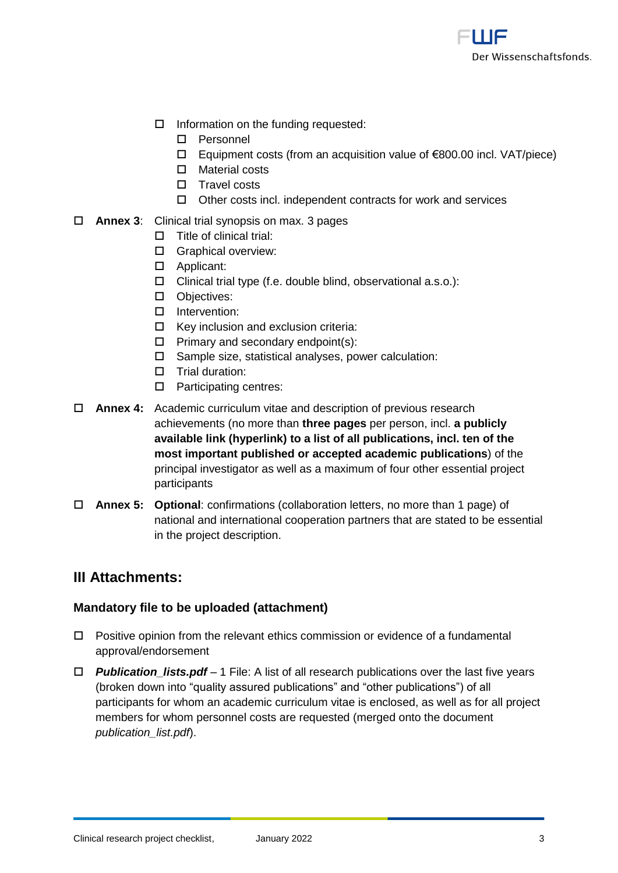

- $\Box$  Information on the funding requested:
	- Personnel
	- Equipment costs (from an acquisition value of €800.00 incl. VAT/piece)
	- Material costs
	- $\square$  Travel costs
	- $\Box$  Other costs incl. independent contracts for work and services

#### **Annex 3**: Clinical trial synopsis on max. 3 pages

- $\Pi$  Title of clinical trial:
- **C** Graphical overview:
- □ Applicant:
- $\Box$  Clinical trial type (f.e. double blind, observational a.s.o.):
- D Objectives:
- Intervention:
- $\Box$  Key inclusion and exclusion criteria:
- $\Box$  Primary and secondary endpoint(s):
- $\square$  Sample size, statistical analyses, power calculation:
- $\square$  Trial duration:
- □ Participating centres:
- **Annex 4:** Academic curriculum vitae and description of previous research achievements (no more than **three pages** per person, incl. **a publicly available link (hyperlink) to a list of all publications, incl. ten of the most important published or accepted academic publications**) of the principal investigator as well as a maximum of four other essential project participants
- **Annex 5: Optional**: confirmations (collaboration letters, no more than 1 page) of national and international cooperation partners that are stated to be essential in the project description.

## **III Attachments:**

#### **Mandatory file to be uploaded (attachment)**

- $\Box$  Positive opinion from the relevant ethics commission or evidence of a fundamental approval/endorsement
- *Publication\_lists.pdf* 1 File: A list of all research publications over the last five years (broken down into "quality assured publications" and "other publications") of all participants for whom an academic curriculum vitae is enclosed, as well as for all project members for whom personnel costs are requested (merged onto the document *publication\_list.pdf*).